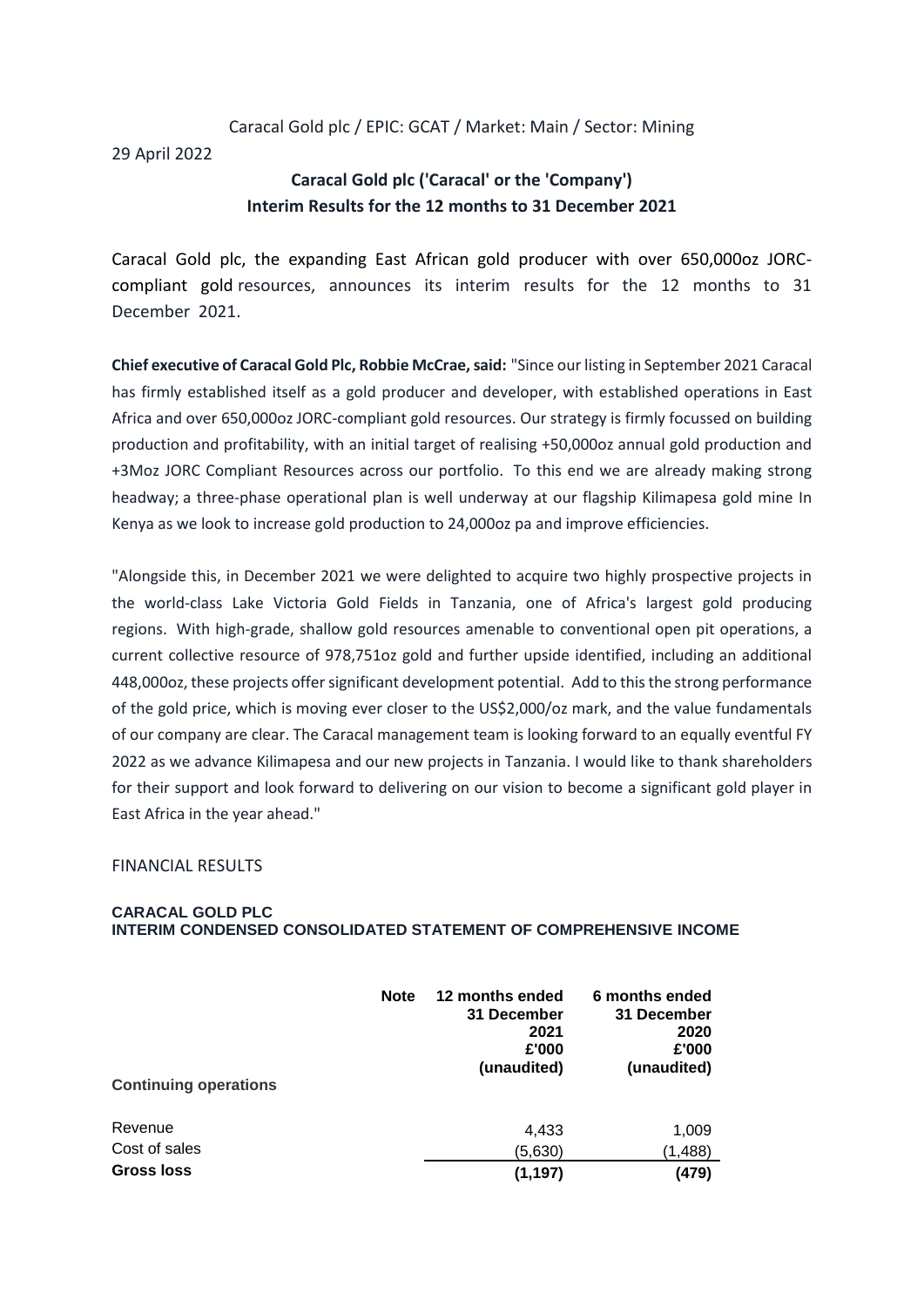# Caracal Gold plc / EPIC: GCAT / Market: Main / Sector: Mining

29 April 2022

# **Caracal Gold plc ('Caracal' or the 'Company') Interim Results for the 12 months to 31 December 2021**

Caracal Gold plc, the expanding East African gold producer with over 650,000oz JORCcompliant gold resources, announces its interim results for the 12 months to 31 December 2021.

**Chief executive of Caracal Gold Plc, Robbie McCrae, said:** "Since our listing in September 2021 Caracal has firmly established itself as a gold producer and developer, with established operations in East Africa and over 650,000oz JORC-compliant gold resources. Our strategy is firmly focussed on building production and profitability, with an initial target of realising +50,000oz annual gold production and +3Moz JORC Compliant Resources across our portfolio. To this end we are already making strong headway; a three-phase operational plan is well underway at our flagship Kilimapesa gold mine In Kenya as we look to increase gold production to 24,000oz pa and improve efficiencies.

"Alongside this, in December 2021 we were delighted to acquire two highly prospective projects in the world-class Lake Victoria Gold Fields in Tanzania, one of Africa's largest gold producing regions. With high-grade, shallow gold resources amenable to conventional open pit operations, a current collective resource of 978,751oz gold and further upside identified, including an additional 448,000oz, these projects offer significant development potential. Add to this the strong performance of the gold price, which is moving ever closer to the US\$2,000/oz mark, and the value fundamentals of our company are clear. The Caracal management team is looking forward to an equally eventful FY 2022 as we advance Kilimapesa and our new projects in Tanzania. I would like to thank shareholders for their support and look forward to delivering on our vision to become a significant gold player in East Africa in the year ahead."

## FINANCIAL RESULTS

### **CARACAL GOLD PLC INTERIM CONDENSED CONSOLIDATED STATEMENT OF COMPREHENSIVE INCOME**

| <b>Continuing operations</b> | <b>Note</b> | 12 months ended<br>31 December<br>2021<br>£'000<br>(unaudited) | 6 months ended<br>31 December<br>2020<br>£'000<br>(unaudited) |
|------------------------------|-------------|----------------------------------------------------------------|---------------------------------------------------------------|
| Revenue<br>Cost of sales     |             | 4,433<br>(5,630)                                               | 1,009<br>(1,488)                                              |
| <b>Gross loss</b>            |             | (1, 197)                                                       | (479)                                                         |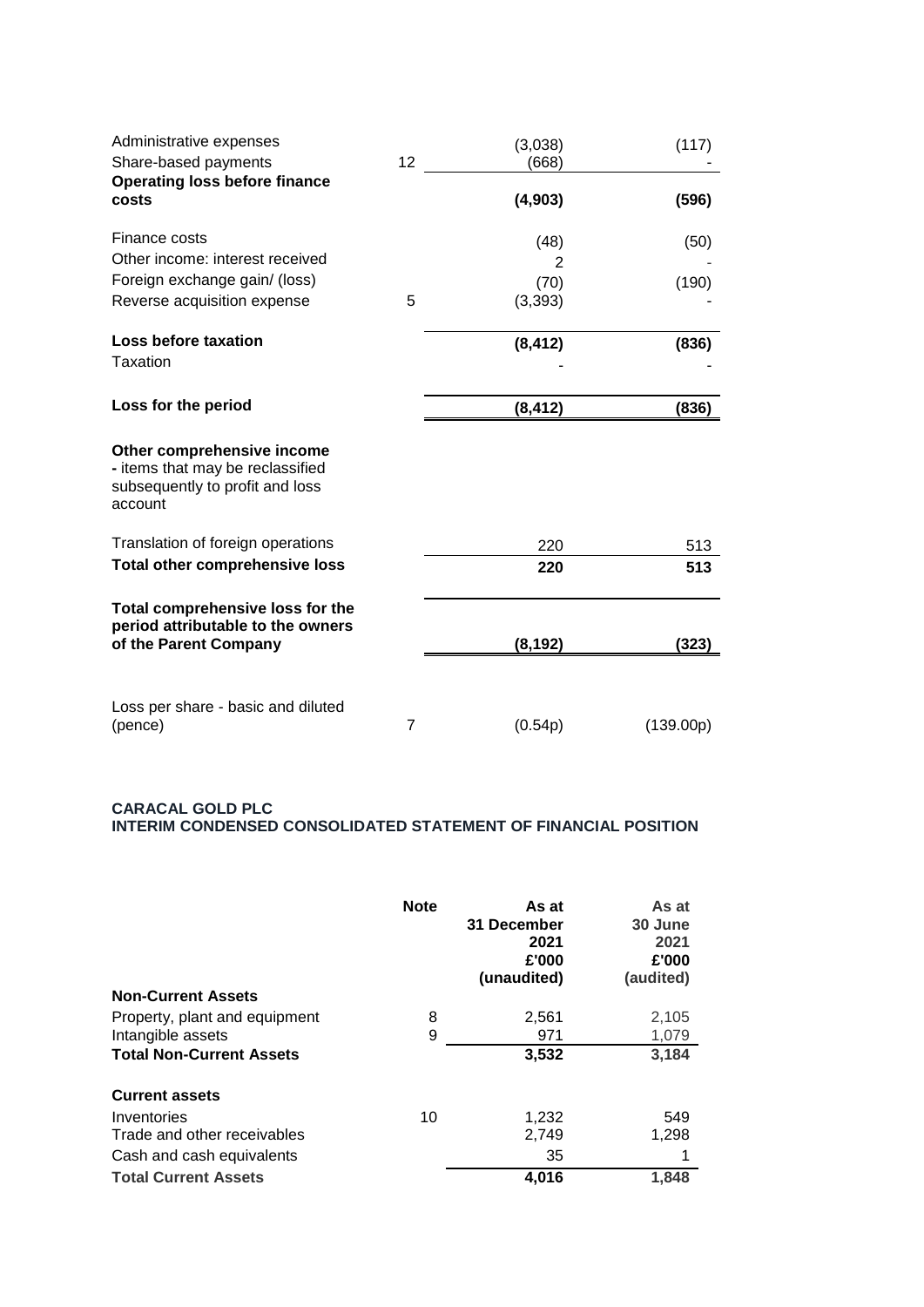| Administrative expenses<br>Share-based payments                                                              | 12 | (3,038)<br>(668) | (117)     |
|--------------------------------------------------------------------------------------------------------------|----|------------------|-----------|
| <b>Operating loss before finance</b><br>costs                                                                |    | (4,903)          | (596)     |
| Finance costs<br>Other income: interest received                                                             |    | (48)<br>2        | (50)      |
| Foreign exchange gain/ (loss)<br>Reverse acquisition expense                                                 | 5  | (70)<br>(3, 393) | (190)     |
| Loss before taxation<br>Taxation                                                                             |    | (8, 412)         | (836)     |
| Loss for the period                                                                                          |    | (8, 412)         | (836)     |
| Other comprehensive income<br>- items that may be reclassified<br>subsequently to profit and loss<br>account |    |                  |           |
| Translation of foreign operations                                                                            |    | 220              | 513       |
| <b>Total other comprehensive loss</b>                                                                        |    | 220              | 513       |
| Total comprehensive loss for the<br>period attributable to the owners<br>of the Parent Company               |    | (8, 192)         | (323)     |
|                                                                                                              |    |                  |           |
| Loss per share - basic and diluted<br>(pence)                                                                | 7  | (0.54p)          | (139.00p) |

# **CARACAL GOLD PLC INTERIM CONDENSED CONSOLIDATED STATEMENT OF FINANCIAL POSITION**

| <b>Non-Current Assets</b>       | <b>Note</b> | As at<br>31 December<br>2021<br>£'000<br>(unaudited) | As at<br>30 June<br>2021<br>£'000<br>(audited) |
|---------------------------------|-------------|------------------------------------------------------|------------------------------------------------|
| Property, plant and equipment   | 8           | 2,561                                                | 2,105                                          |
| Intangible assets               | 9           | 971                                                  | 1,079                                          |
| <b>Total Non-Current Assets</b> |             | 3,532                                                | 3,184                                          |
| <b>Current assets</b>           |             |                                                      |                                                |
| Inventories                     | 10          | 1,232                                                | 549                                            |
| Trade and other receivables     |             | 2,749                                                | 1,298                                          |
| Cash and cash equivalents       |             | 35                                                   | 1                                              |
| <b>Total Current Assets</b>     |             | 4,016                                                | 1.848                                          |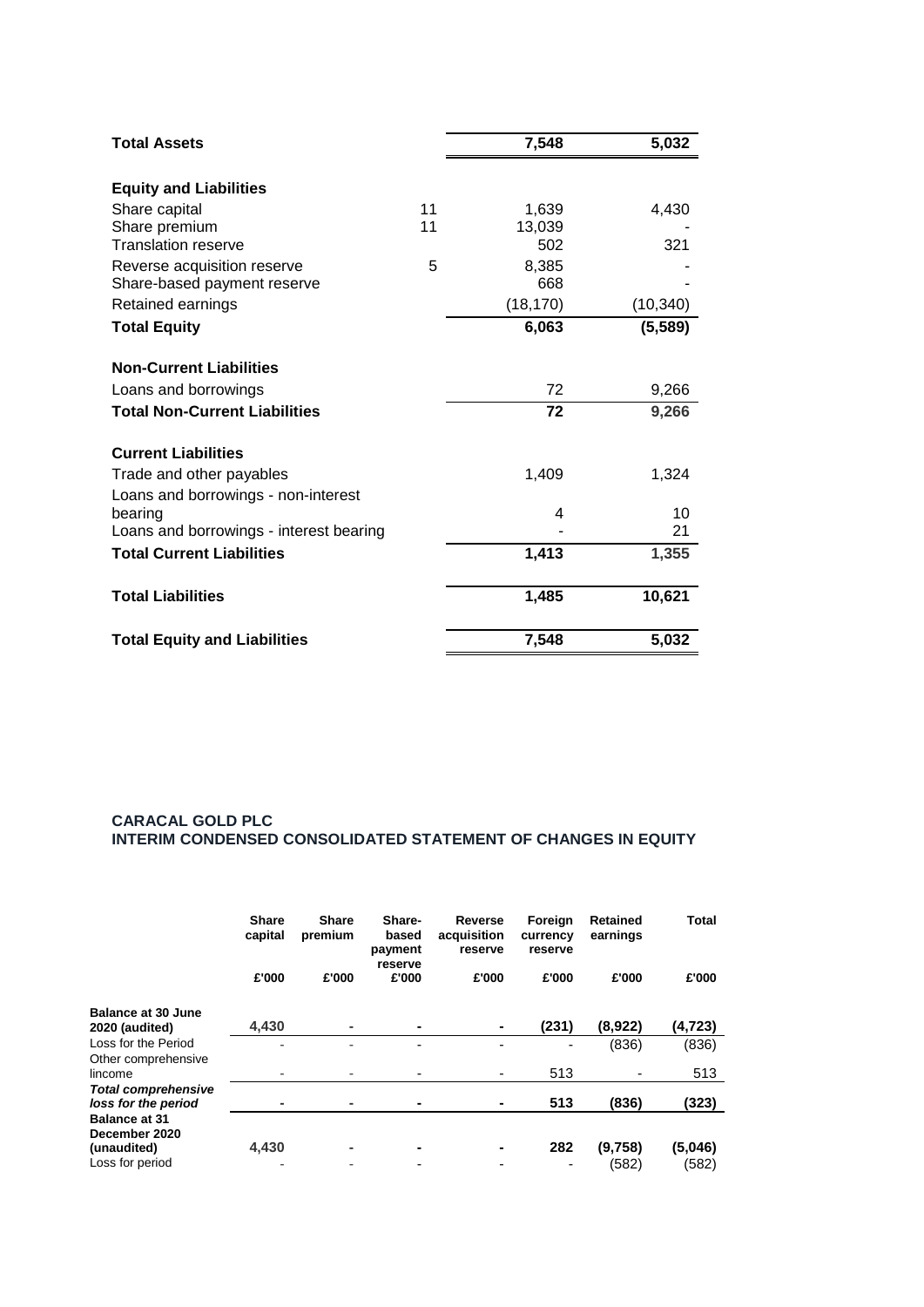| <b>Total Assets</b>                     |    | 7,548     | 5,032     |
|-----------------------------------------|----|-----------|-----------|
| <b>Equity and Liabilities</b>           |    |           |           |
| Share capital                           | 11 | 1,639     | 4,430     |
| Share premium                           | 11 | 13,039    |           |
| <b>Translation reserve</b>              |    | 502       | 321       |
| Reverse acquisition reserve             | 5  | 8,385     |           |
| Share-based payment reserve             |    | 668       |           |
| Retained earnings                       |    | (18, 170) | (10, 340) |
| <b>Total Equity</b>                     |    | 6,063     | (5, 589)  |
| <b>Non-Current Liabilities</b>          |    |           |           |
| Loans and borrowings                    |    | 72        | 9,266     |
| <b>Total Non-Current Liabilities</b>    |    | 72        | 9,266     |
| <b>Current Liabilities</b>              |    |           |           |
| Trade and other payables                |    | 1,409     | 1,324     |
| Loans and borrowings - non-interest     |    |           |           |
| bearing                                 |    | 4         | 10        |
| Loans and borrowings - interest bearing |    |           | 21        |
| <b>Total Current Liabilities</b>        |    | 1,413     | 1,355     |
| <b>Total Liabilities</b>                |    | 1,485     | 10,621    |
| <b>Total Equity and Liabilities</b>     |    | 7,548     | 5,032     |

# **CARACAL GOLD PLC INTERIM CONDENSED CONSOLIDATED STATEMENT OF CHANGES IN EQUITY**

|                            | <b>Share</b><br>capital<br>£'000 | <b>Share</b><br>premium<br>£'000 | Share-<br>based<br>payment<br>reserve<br>£'000 | Reverse<br>acquisition<br>reserve<br>£'000 | Foreign<br>currency<br>reserve<br>£'000 | <b>Retained</b><br>earnings<br>£'000 | Total<br>£'000 |
|----------------------------|----------------------------------|----------------------------------|------------------------------------------------|--------------------------------------------|-----------------------------------------|--------------------------------------|----------------|
| <b>Balance at 30 June</b>  |                                  |                                  |                                                |                                            |                                         |                                      |                |
| 2020 (audited)             | 4.430                            | ۰                                |                                                |                                            | (231)                                   | (8,922)                              | (4,723)        |
| Loss for the Period        |                                  |                                  |                                                |                                            |                                         | (836)                                | (836)          |
| Other comprehensive        |                                  |                                  |                                                |                                            |                                         |                                      |                |
| lincome                    |                                  |                                  |                                                |                                            | 513                                     |                                      | 513            |
| <b>Total comprehensive</b> |                                  |                                  |                                                |                                            |                                         |                                      |                |
| loss for the period        |                                  |                                  |                                                |                                            | 513                                     | (836)                                | (323)          |
| <b>Balance at 31</b>       |                                  |                                  |                                                |                                            |                                         |                                      |                |
| December 2020              |                                  |                                  |                                                |                                            |                                         |                                      |                |
| (unaudited)                | 4,430                            |                                  |                                                |                                            | 282                                     | (9.758)                              | (5,046)        |
| Loss for period            |                                  | ٠                                |                                                |                                            |                                         | (582)                                | (582)          |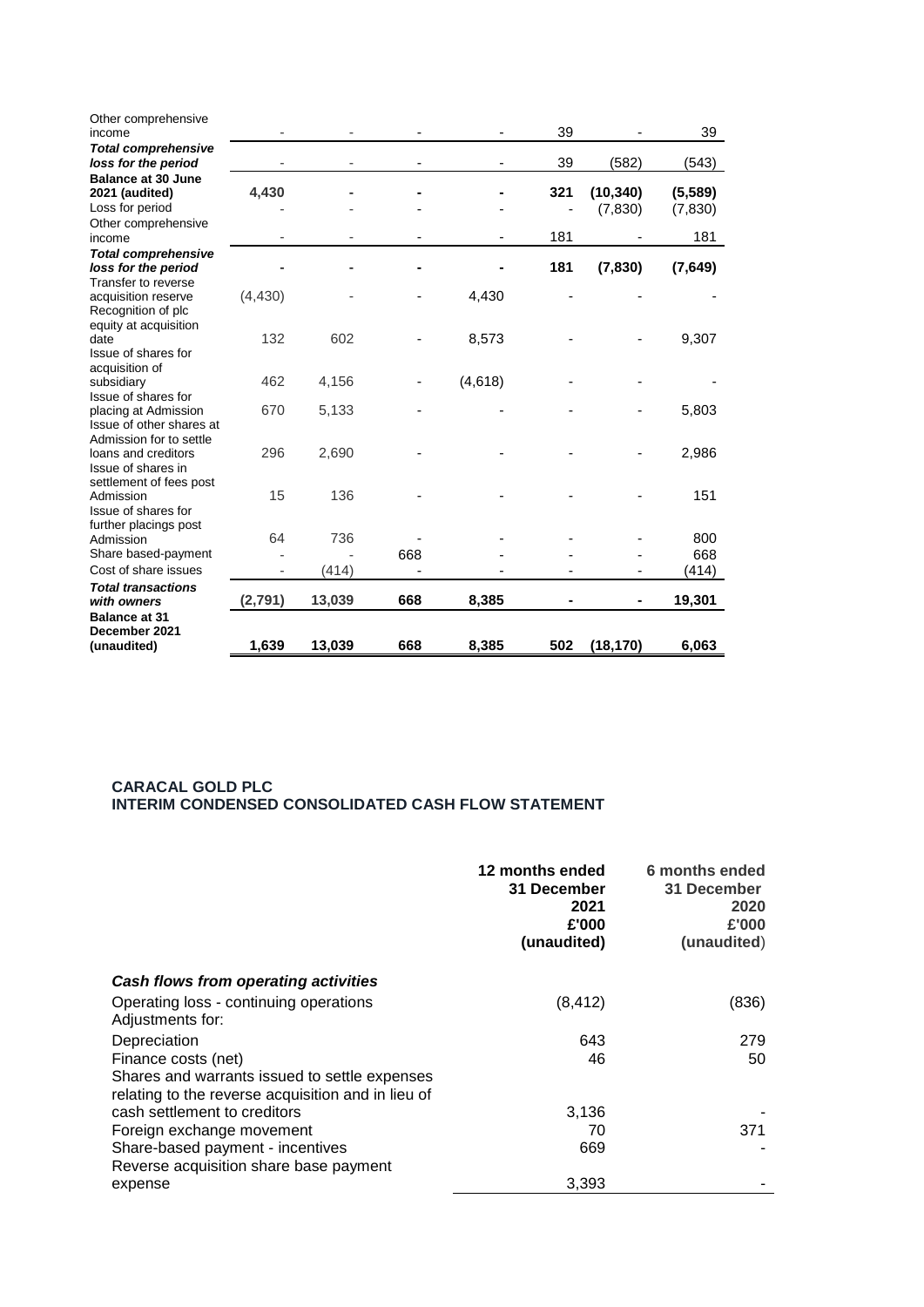| Other comprehensive<br>income                                               |          |        |     |         | 39  |                      | 39                  |
|-----------------------------------------------------------------------------|----------|--------|-----|---------|-----|----------------------|---------------------|
| <b>Total comprehensive</b><br>loss for the period                           |          |        |     |         | 39  | (582)                | (543)               |
| <b>Balance at 30 June</b><br>2021 (audited)<br>Loss for period              | 4,430    |        |     |         | 321 | (10, 340)<br>(7,830) | (5,589)<br>(7, 830) |
| Other comprehensive<br>income                                               |          |        |     |         | 181 |                      | 181                 |
| <b>Total comprehensive</b><br>loss for the period                           |          |        |     |         | 181 | (7,830)              | (7, 649)            |
| Transfer to reverse<br>acquisition reserve<br>Recognition of plc            | (4, 430) |        |     | 4,430   |     |                      |                     |
| equity at acquisition<br>date<br>Issue of shares for                        | 132      | 602    |     | 8,573   |     |                      | 9,307               |
| acquisition of<br>subsidiary<br>Issue of shares for                         | 462      | 4,156  |     | (4,618) |     |                      |                     |
| placing at Admission<br>Issue of other shares at<br>Admission for to settle | 670      | 5,133  |     |         |     |                      | 5,803               |
| loans and creditors<br>Issue of shares in<br>settlement of fees post        | 296      | 2,690  |     |         |     |                      | 2,986               |
| Admission<br>Issue of shares for<br>further placings post                   | 15       | 136    |     |         |     |                      | 151                 |
| Admission                                                                   | 64       | 736    |     |         |     |                      | 800                 |
| Share based-payment                                                         |          |        | 668 |         |     |                      | 668                 |
| Cost of share issues                                                        |          | (414)  |     |         |     |                      | (414)               |
| <b>Total transactions</b><br>with owners                                    | (2,791)  | 13,039 | 668 | 8,385   |     |                      | 19,301              |
| <b>Balance at 31</b><br>December 2021                                       |          |        |     |         |     |                      |                     |
| (unaudited)                                                                 | 1,639    | 13,039 | 668 | 8,385   | 502 | (18, 170)            | 6,063               |

#### **CARACAL GOLD PLC INTERIM CONDENSED CONSOLIDATED CASH FLOW STATEMENT**

|                                                                                                                            | 12 months ended<br>31 December<br>2021<br>£'000<br>(unaudited) | 6 months ended<br>31 December<br>2020<br>£'000<br>(unaudited) |
|----------------------------------------------------------------------------------------------------------------------------|----------------------------------------------------------------|---------------------------------------------------------------|
| Cash flows from operating activities                                                                                       |                                                                |                                                               |
| Operating loss - continuing operations<br>Adjustments for:                                                                 | (8, 412)                                                       | (836)                                                         |
| Depreciation                                                                                                               | 643                                                            | 279                                                           |
| Finance costs (net)<br>Shares and warrants issued to settle expenses<br>relating to the reverse acquisition and in lieu of | 46                                                             | 50                                                            |
| cash settlement to creditors                                                                                               | 3,136                                                          |                                                               |
| Foreign exchange movement                                                                                                  | 70                                                             | 371                                                           |
| Share-based payment - incentives<br>Reverse acquisition share base payment                                                 | 669                                                            |                                                               |
| expense                                                                                                                    | 3,393                                                          |                                                               |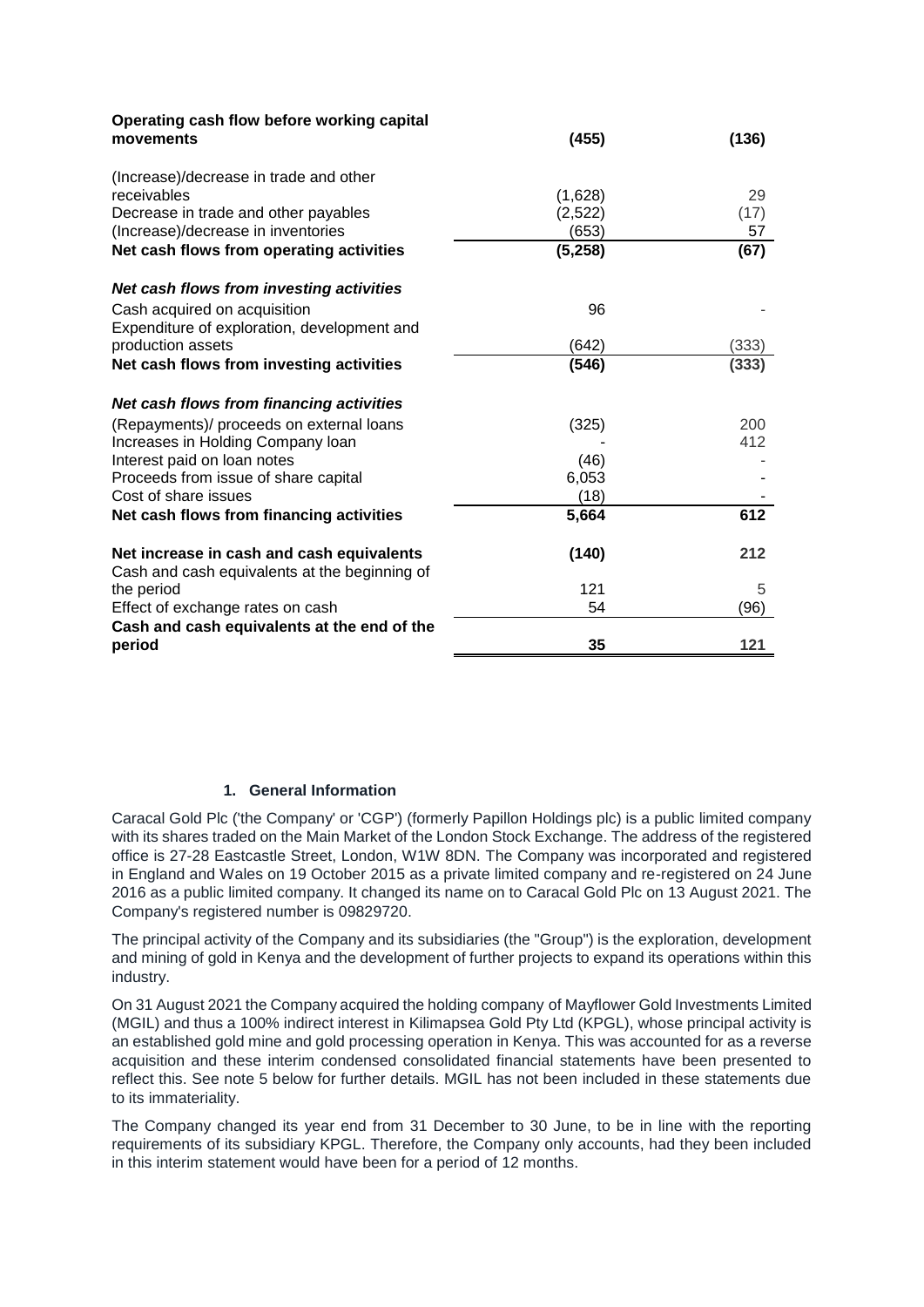| Operating cash flow before working capital<br>movements                                                                             | (455)                       | (136)            |
|-------------------------------------------------------------------------------------------------------------------------------------|-----------------------------|------------------|
| (Increase)/decrease in trade and other<br>receivables<br>Decrease in trade and other payables<br>(Increase)/decrease in inventories | (1,628)<br>(2,522)<br>(653) | 29<br>(17)<br>57 |
| Net cash flows from operating activities                                                                                            | (5,258)                     | (67)             |
| Net cash flows from investing activities                                                                                            |                             |                  |
| Cash acquired on acquisition<br>Expenditure of exploration, development and                                                         | 96                          |                  |
| production assets                                                                                                                   | (642)                       | (333)            |
| Net cash flows from investing activities                                                                                            | (546)                       | (333)            |
| Net cash flows from financing activities                                                                                            |                             |                  |
| (Repayments)/ proceeds on external loans                                                                                            | (325)                       | 200              |
| Increases in Holding Company loan                                                                                                   |                             | 412              |
| Interest paid on loan notes                                                                                                         | (46)                        |                  |
| Proceeds from issue of share capital                                                                                                | 6,053                       |                  |
| Cost of share issues                                                                                                                | (18)                        |                  |
| Net cash flows from financing activities                                                                                            | 5,664                       | 612              |
| Net increase in cash and cash equivalents<br>Cash and cash equivalents at the beginning of                                          | (140)                       | 212              |
| the period                                                                                                                          | 121                         | 5                |
| Effect of exchange rates on cash                                                                                                    | 54                          | (96)             |
| Cash and cash equivalents at the end of the                                                                                         |                             |                  |
| period                                                                                                                              | 35                          | 121              |

# **1. General Information**

Caracal Gold Plc ('the Company' or 'CGP') (formerly Papillon Holdings plc) is a public limited company with its shares traded on the Main Market of the London Stock Exchange. The address of the registered office is 27-28 Eastcastle Street, London, W1W 8DN. The Company was incorporated and registered in England and Wales on 19 October 2015 as a private limited company and re-registered on 24 June 2016 as a public limited company. It changed its name on to Caracal Gold Plc on 13 August 2021. The Company's registered number is 09829720.

The principal activity of the Company and its subsidiaries (the "Group") is the exploration, development and mining of gold in Kenya and the development of further projects to expand its operations within this industry.

On 31 August 2021 the Company acquired the holding company of Mayflower Gold Investments Limited (MGIL) and thus a 100% indirect interest in Kilimapsea Gold Pty Ltd (KPGL), whose principal activity is an established gold mine and gold processing operation in Kenya. This was accounted for as a reverse acquisition and these interim condensed consolidated financial statements have been presented to reflect this. See note 5 below for further details. MGIL has not been included in these statements due to its immateriality.

The Company changed its year end from 31 December to 30 June, to be in line with the reporting requirements of its subsidiary KPGL. Therefore, the Company only accounts, had they been included in this interim statement would have been for a period of 12 months.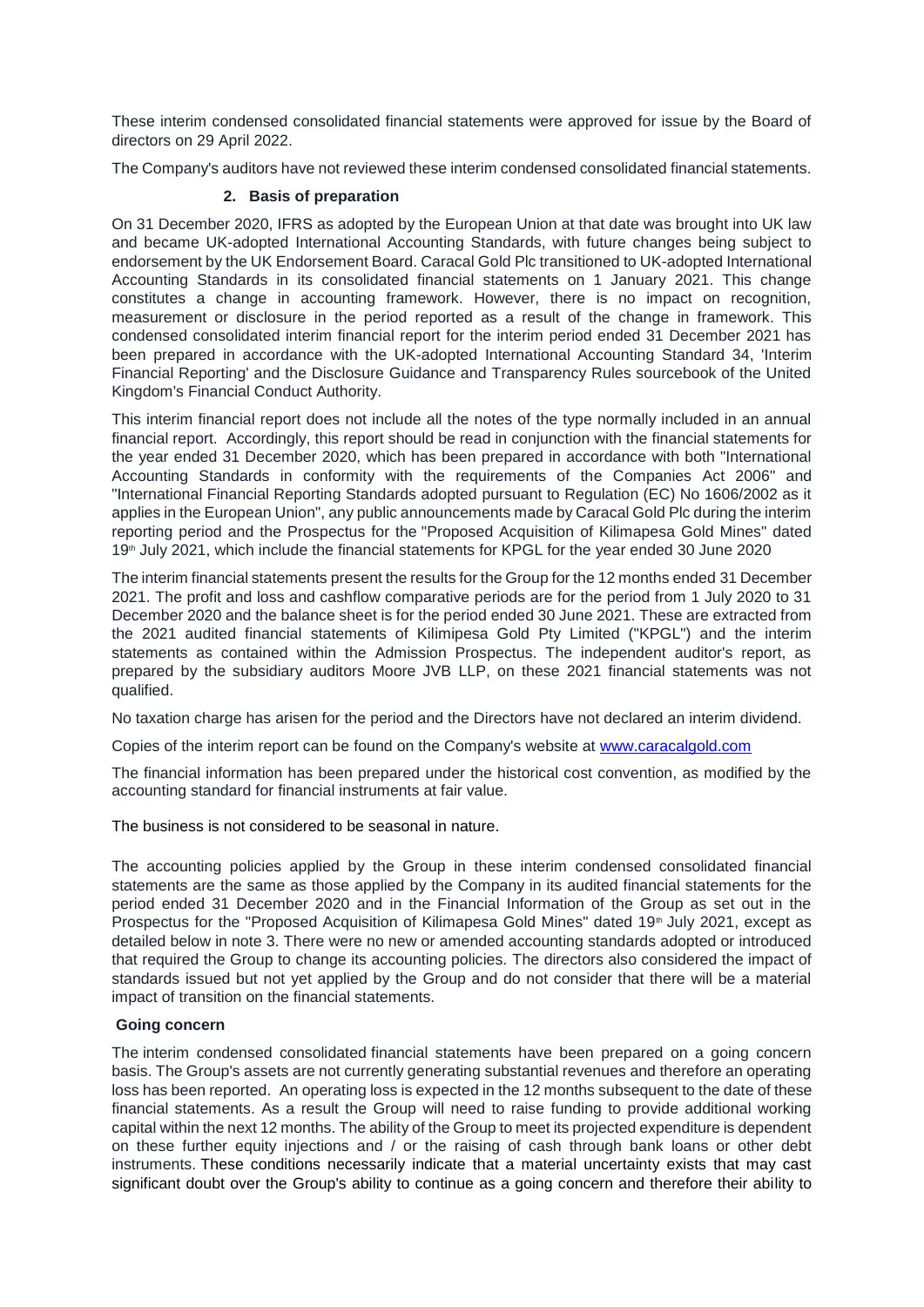These interim condensed consolidated financial statements were approved for issue by the Board of directors on 29 April 2022.

The Company's auditors have not reviewed these interim condensed consolidated financial statements.

### **2. Basis of preparation**

On 31 December 2020, IFRS as adopted by the European Union at that date was brought into UK law and became UK-adopted International Accounting Standards, with future changes being subject to endorsement by the UK Endorsement Board. Caracal Gold Plc transitioned to UK-adopted International Accounting Standards in its consolidated financial statements on 1 January 2021. This change constitutes a change in accounting framework. However, there is no impact on recognition, measurement or disclosure in the period reported as a result of the change in framework. This condensed consolidated interim financial report for the interim period ended 31 December 2021 has been prepared in accordance with the UK-adopted International Accounting Standard 34, 'Interim Financial Reporting' and the Disclosure Guidance and Transparency Rules sourcebook of the United Kingdom's Financial Conduct Authority.

This interim financial report does not include all the notes of the type normally included in an annual financial report. Accordingly, this report should be read in conjunction with the financial statements for the year ended 31 December 2020, which has been prepared in accordance with both "International Accounting Standards in conformity with the requirements of the Companies Act 2006" and "International Financial Reporting Standards adopted pursuant to Regulation (EC) No 1606/2002 as it applies in the European Union", any public announcements made by Caracal Gold Plc during the interim reporting period and the Prospectus for the "Proposed Acquisition of Kilimapesa Gold Mines" dated 19<sup>th</sup> July 2021, which include the financial statements for KPGL for the year ended 30 June 2020

The interim financial statements present the results for the Group for the 12 months ended 31 December 2021. The profit and loss and cashflow comparative periods are for the period from 1 July 2020 to 31 December 2020 and the balance sheet is for the period ended 30 June 2021. These are extracted from the 2021 audited financial statements of Kilimipesa Gold Pty Limited ("KPGL") and the interim statements as contained within the Admission Prospectus. The independent auditor's report, as prepared by the subsidiary auditors Moore JVB LLP, on these 2021 financial statements was not qualified.

No taxation charge has arisen for the period and the Directors have not declared an interim dividend.

Copies of the interim report can be found on the Company's website at [www.caracalgold.com](http://www.caracalgold.com/)

The financial information has been prepared under the historical cost convention, as modified by the accounting standard for financial instruments at fair value.

#### The business is not considered to be seasonal in nature.

The accounting policies applied by the Group in these interim condensed consolidated financial statements are the same as those applied by the Company in its audited financial statements for the period ended 31 December 2020 and in the Financial Information of the Group as set out in the Prospectus for the "Proposed Acquisition of Kilimapesa Gold Mines" dated 19th July 2021, except as detailed below in note 3. There were no new or amended accounting standards adopted or introduced that required the Group to change its accounting policies. The directors also considered the impact of standards issued but not yet applied by the Group and do not consider that there will be a material impact of transition on the financial statements.

#### **Going concern**

The interim condensed consolidated financial statements have been prepared on a going concern basis. The Group's assets are not currently generating substantial revenues and therefore an operating loss has been reported. An operating loss is expected in the 12 months subsequent to the date of these financial statements. As a result the Group will need to raise funding to provide additional working capital within the next 12 months. The ability of the Group to meet its projected expenditure is dependent on these further equity injections and / or the raising of cash through bank loans or other debt instruments. These conditions necessarily indicate that a material uncertainty exists that may cast significant doubt over the Group's ability to continue as a going concern and therefore their ability to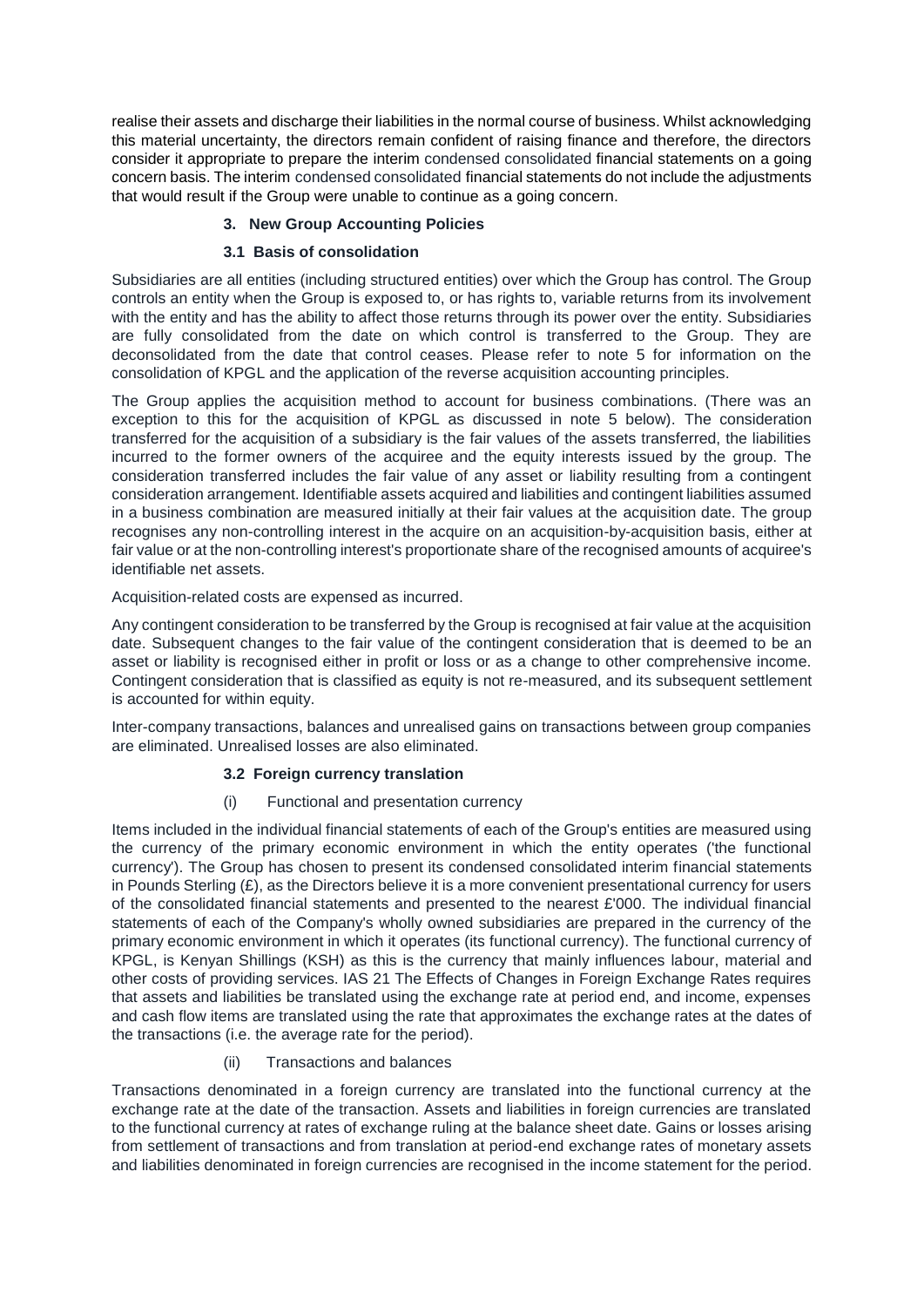realise their assets and discharge their liabilities in the normal course of business. Whilst acknowledging this material uncertainty, the directors remain confident of raising finance and therefore, the directors consider it appropriate to prepare the interim condensed consolidated financial statements on a going concern basis. The interim condensed consolidated financial statements do not include the adjustments that would result if the Group were unable to continue as a going concern.

# **3. New Group Accounting Policies**

# **3.1 Basis of consolidation**

Subsidiaries are all entities (including structured entities) over which the Group has control. The Group controls an entity when the Group is exposed to, or has rights to, variable returns from its involvement with the entity and has the ability to affect those returns through its power over the entity. Subsidiaries are fully consolidated from the date on which control is transferred to the Group. They are deconsolidated from the date that control ceases. Please refer to note 5 for information on the consolidation of KPGL and the application of the reverse acquisition accounting principles.

The Group applies the acquisition method to account for business combinations. (There was an exception to this for the acquisition of KPGL as discussed in note 5 below). The consideration transferred for the acquisition of a subsidiary is the fair values of the assets transferred, the liabilities incurred to the former owners of the acquiree and the equity interests issued by the group. The consideration transferred includes the fair value of any asset or liability resulting from a contingent consideration arrangement. Identifiable assets acquired and liabilities and contingent liabilities assumed in a business combination are measured initially at their fair values at the acquisition date. The group recognises any non-controlling interest in the acquire on an acquisition-by-acquisition basis, either at fair value or at the non-controlling interest's proportionate share of the recognised amounts of acquiree's identifiable net assets.

Acquisition-related costs are expensed as incurred.

Any contingent consideration to be transferred by the Group is recognised at fair value at the acquisition date. Subsequent changes to the fair value of the contingent consideration that is deemed to be an asset or liability is recognised either in profit or loss or as a change to other comprehensive income. Contingent consideration that is classified as equity is not re-measured, and its subsequent settlement is accounted for within equity.

Inter-company transactions, balances and unrealised gains on transactions between group companies are eliminated. Unrealised losses are also eliminated.

# **3.2 Foreign currency translation**

# (i) Functional and presentation currency

Items included in the individual financial statements of each of the Group's entities are measured using the currency of the primary economic environment in which the entity operates ('the functional currency'). The Group has chosen to present its condensed consolidated interim financial statements in Pounds Sterling  $(E)$ , as the Directors believe it is a more convenient presentational currency for users of the consolidated financial statements and presented to the nearest £'000. The individual financial statements of each of the Company's wholly owned subsidiaries are prepared in the currency of the primary economic environment in which it operates (its functional currency). The functional currency of KPGL, is Kenyan Shillings (KSH) as this is the currency that mainly influences labour, material and other costs of providing services. IAS 21 The Effects of Changes in Foreign Exchange Rates requires that assets and liabilities be translated using the exchange rate at period end, and income, expenses and cash flow items are translated using the rate that approximates the exchange rates at the dates of the transactions (i.e. the average rate for the period).

# (ii) Transactions and balances

Transactions denominated in a foreign currency are translated into the functional currency at the exchange rate at the date of the transaction. Assets and liabilities in foreign currencies are translated to the functional currency at rates of exchange ruling at the balance sheet date. Gains or losses arising from settlement of transactions and from translation at period-end exchange rates of monetary assets and liabilities denominated in foreign currencies are recognised in the income statement for the period.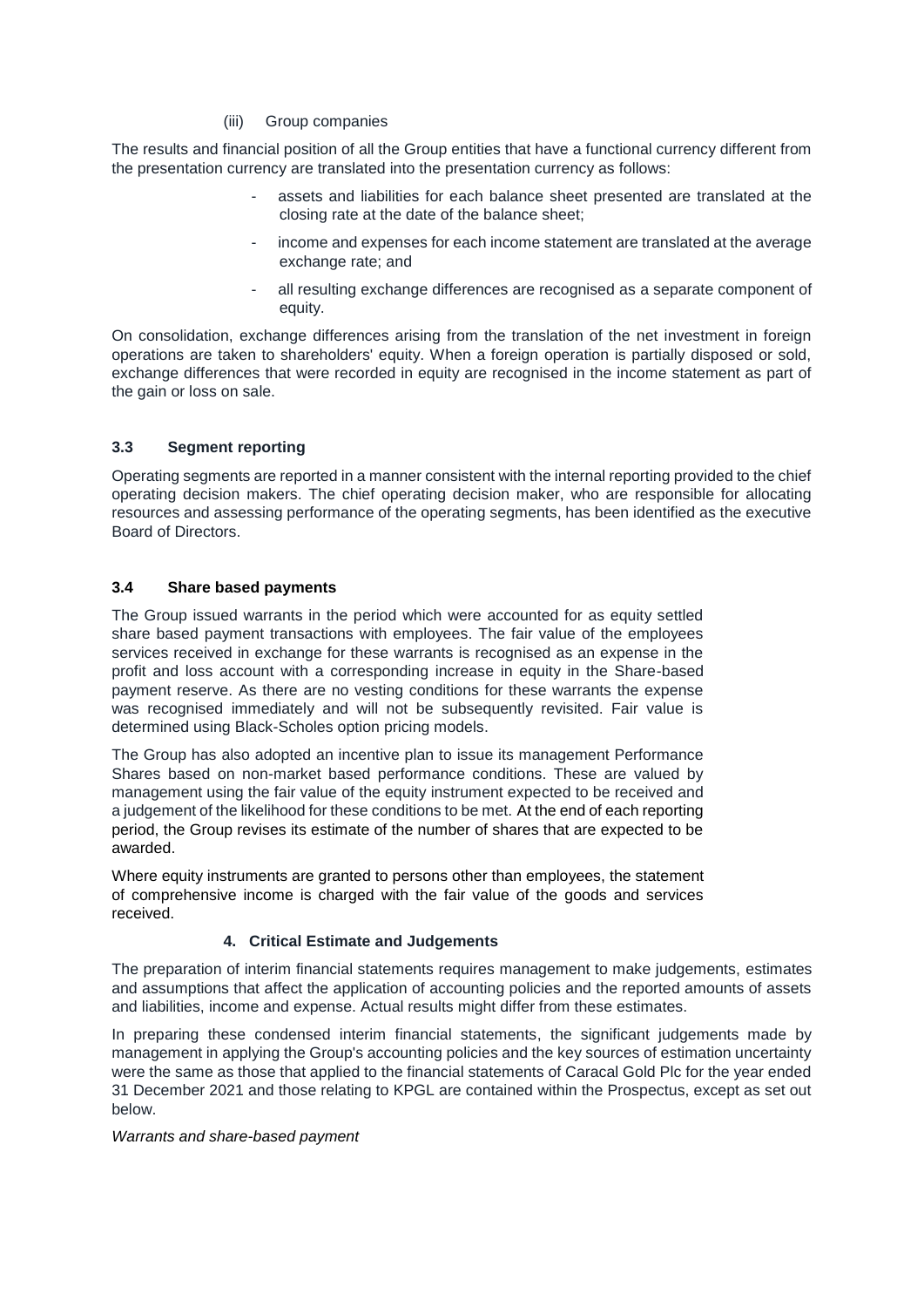### (iii) Group companies

The results and financial position of all the Group entities that have a functional currency different from the presentation currency are translated into the presentation currency as follows:

- assets and liabilities for each balance sheet presented are translated at the closing rate at the date of the balance sheet;
- income and expenses for each income statement are translated at the average exchange rate; and
- all resulting exchange differences are recognised as a separate component of equity.

On consolidation, exchange differences arising from the translation of the net investment in foreign operations are taken to shareholders' equity. When a foreign operation is partially disposed or sold, exchange differences that were recorded in equity are recognised in the income statement as part of the gain or loss on sale.

## **3.3 Segment reporting**

Operating segments are reported in a manner consistent with the internal reporting provided to the chief operating decision makers. The chief operating decision maker, who are responsible for allocating resources and assessing performance of the operating segments, has been identified as the executive Board of Directors.

## **3.4 Share based payments**

The Group issued warrants in the period which were accounted for as equity settled share based payment transactions with employees. The fair value of the employees services received in exchange for these warrants is recognised as an expense in the profit and loss account with a corresponding increase in equity in the Share-based payment reserve. As there are no vesting conditions for these warrants the expense was recognised immediately and will not be subsequently revisited. Fair value is determined using Black-Scholes option pricing models.

The Group has also adopted an incentive plan to issue its management Performance Shares based on non-market based performance conditions. These are valued by management using the fair value of the equity instrument expected to be received and a judgement of the likelihood for these conditions to be met. At the end of each reporting period, the Group revises its estimate of the number of shares that are expected to be awarded.

Where equity instruments are granted to persons other than employees, the statement of comprehensive income is charged with the fair value of the goods and services received.

# **4. Critical Estimate and Judgements**

The preparation of interim financial statements requires management to make judgements, estimates and assumptions that affect the application of accounting policies and the reported amounts of assets and liabilities, income and expense. Actual results might differ from these estimates.

In preparing these condensed interim financial statements, the significant judgements made by management in applying the Group's accounting policies and the key sources of estimation uncertainty were the same as those that applied to the financial statements of Caracal Gold Plc for the year ended 31 December 2021 and those relating to KPGL are contained within the Prospectus, except as set out below.

## *Warrants and share-based payment*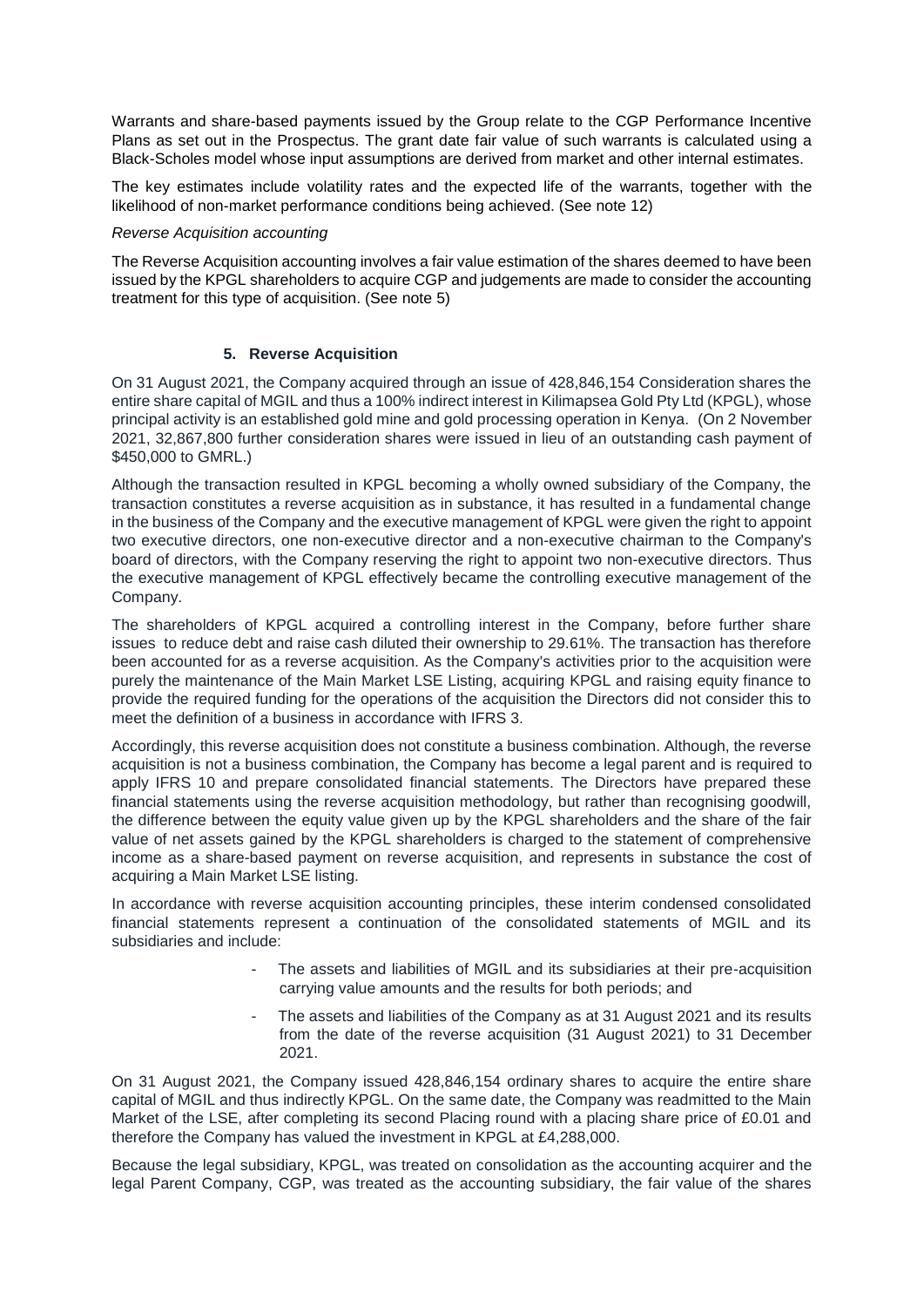Warrants and share-based payments issued by the Group relate to the CGP Performance Incentive Plans as set out in the Prospectus. The grant date fair value of such warrants is calculated using a Black-Scholes model whose input assumptions are derived from market and other internal estimates.

The key estimates include volatility rates and the expected life of the warrants, together with the likelihood of non-market performance conditions being achieved. (See note 12)

#### *Reverse Acquisition accounting*

The Reverse Acquisition accounting involves a fair value estimation of the shares deemed to have been issued by the KPGL shareholders to acquire CGP and judgements are made to consider the accounting treatment for this type of acquisition. (See note 5)

### **5. Reverse Acquisition**

On 31 August 2021, the Company acquired through an issue of 428,846,154 Consideration shares the entire share capital of MGIL and thus a 100% indirect interest in Kilimapsea Gold Pty Ltd (KPGL), whose principal activity is an established gold mine and gold processing operation in Kenya. (On 2 November 2021, 32,867,800 further consideration shares were issued in lieu of an outstanding cash payment of \$450,000 to GMRL.)

Although the transaction resulted in KPGL becoming a wholly owned subsidiary of the Company, the transaction constitutes a reverse acquisition as in substance, it has resulted in a fundamental change in the business of the Company and the executive management of KPGL were given the right to appoint two executive directors, one non-executive director and a non-executive chairman to the Company's board of directors, with the Company reserving the right to appoint two non-executive directors. Thus the executive management of KPGL effectively became the controlling executive management of the Company.

The shareholders of KPGL acquired a controlling interest in the Company, before further share issues to reduce debt and raise cash diluted their ownership to 29.61%. The transaction has therefore been accounted for as a reverse acquisition. As the Company's activities prior to the acquisition were purely the maintenance of the Main Market LSE Listing, acquiring KPGL and raising equity finance to provide the required funding for the operations of the acquisition the Directors did not consider this to meet the definition of a business in accordance with IFRS 3.

Accordingly, this reverse acquisition does not constitute a business combination. Although, the reverse acquisition is not a business combination, the Company has become a legal parent and is required to apply IFRS 10 and prepare consolidated financial statements. The Directors have prepared these financial statements using the reverse acquisition methodology, but rather than recognising goodwill, the difference between the equity value given up by the KPGL shareholders and the share of the fair value of net assets gained by the KPGL shareholders is charged to the statement of comprehensive income as a share-based payment on reverse acquisition, and represents in substance the cost of acquiring a Main Market LSE listing.

In accordance with reverse acquisition accounting principles, these interim condensed consolidated financial statements represent a continuation of the consolidated statements of MGIL and its subsidiaries and include:

- The assets and liabilities of MGIL and its subsidiaries at their pre-acquisition carrying value amounts and the results for both periods; and
- The assets and liabilities of the Company as at 31 August 2021 and its results from the date of the reverse acquisition (31 August 2021) to 31 December 2021.

On 31 August 2021, the Company issued 428,846,154 ordinary shares to acquire the entire share capital of MGIL and thus indirectly KPGL. On the same date, the Company was readmitted to the Main Market of the LSE, after completing its second Placing round with a placing share price of £0.01 and therefore the Company has valued the investment in KPGL at £4,288,000.

Because the legal subsidiary, KPGL, was treated on consolidation as the accounting acquirer and the legal Parent Company, CGP, was treated as the accounting subsidiary, the fair value of the shares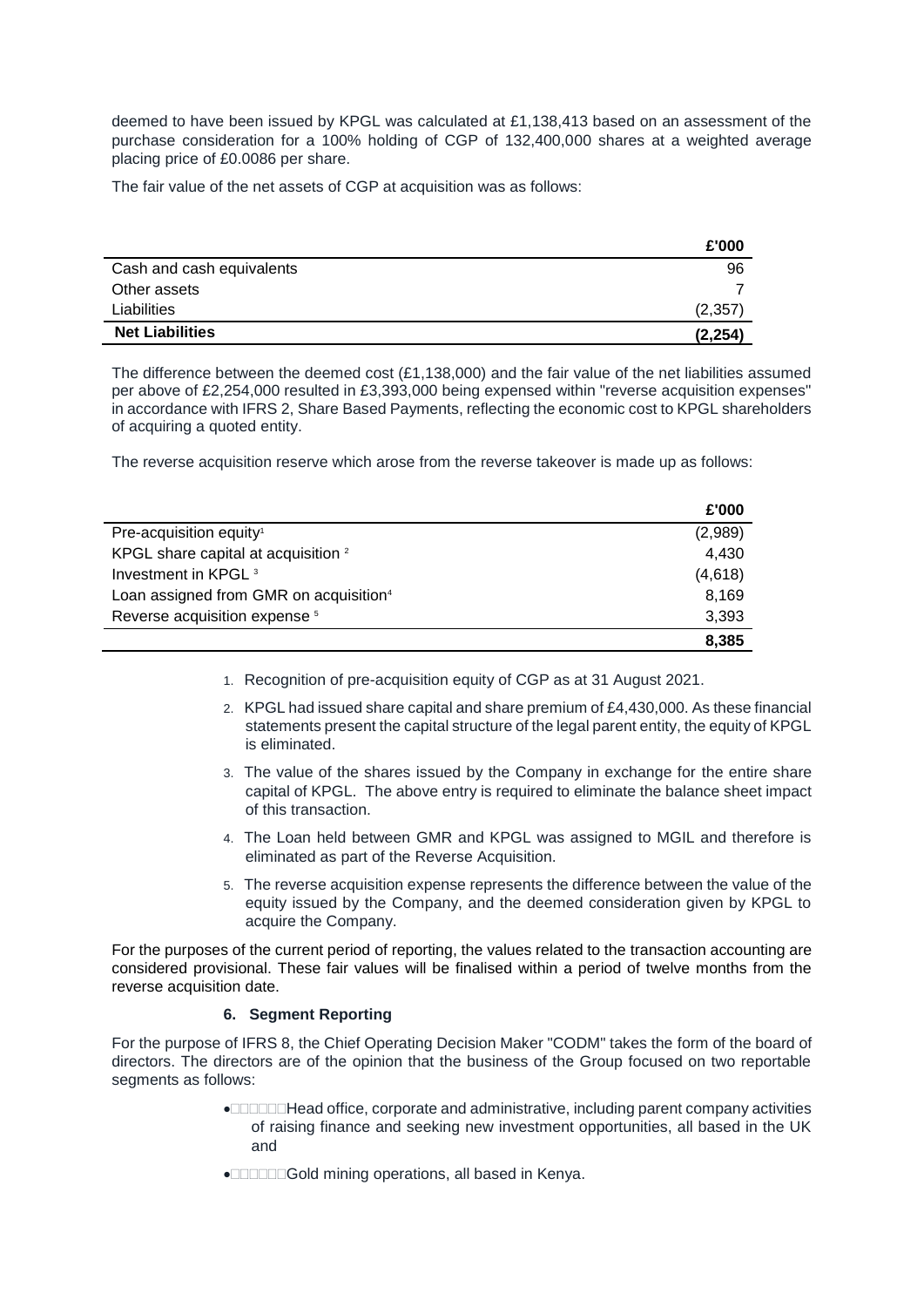deemed to have been issued by KPGL was calculated at £1,138,413 based on an assessment of the purchase consideration for a 100% holding of CGP of 132,400,000 shares at a weighted average placing price of £0.0086 per share.

The fair value of the net assets of CGP at acquisition was as follows:

|                           | £'000    |
|---------------------------|----------|
| Cash and cash equivalents | 96       |
| Other assets              |          |
| Liabilities               | (2,357)  |
| <b>Net Liabilities</b>    | (2, 254) |

The difference between the deemed cost  $(E1,138,000)$  and the fair value of the net liabilities assumed per above of £2,254,000 resulted in £3,393,000 being expensed within "reverse acquisition expenses" in accordance with IFRS 2, Share Based Payments, reflecting the economic cost to KPGL shareholders of acquiring a quoted entity.

The reverse acquisition reserve which arose from the reverse takeover is made up as follows:

|                                                    | £'000   |
|----------------------------------------------------|---------|
| Pre-acquisition equity <sup>1</sup>                | (2,989) |
| KPGL share capital at acquisition <sup>2</sup>     | 4.430   |
| Investment in KPGL <sup>3</sup>                    | (4,618) |
| Loan assigned from GMR on acquisition <sup>4</sup> | 8.169   |
| Reverse acquisition expense <sup>5</sup>           | 3.393   |
|                                                    | 8.385   |

- 1. Recognition of pre-acquisition equity of CGP as at 31 August 2021.
- 2. KPGL had issued share capital and share premium of £4,430,000. As these financial statements present the capital structure of the legal parent entity, the equity of KPGL is eliminated.
- 3. The value of the shares issued by the Company in exchange for the entire share capital of KPGL. The above entry is required to eliminate the balance sheet impact of this transaction.
- 4. The Loan held between GMR and KPGL was assigned to MGIL and therefore is eliminated as part of the Reverse Acquisition.
- 5. The reverse acquisition expense represents the difference between the value of the equity issued by the Company, and the deemed consideration given by KPGL to acquire the Company.

For the purposes of the current period of reporting, the values related to the transaction accounting are considered provisional. These fair values will be finalised within a period of twelve months from the reverse acquisition date.

## **6. Segment Reporting**

For the purpose of IFRS 8, the Chief Operating Decision Maker "CODM" takes the form of the board of directors. The directors are of the opinion that the business of the Group focused on two reportable segments as follows:

- Head office, corporate and administrative, including parent company activities of raising finance and seeking new investment opportunities, all based in the UK and
- **<b>Gold** mining operations, all based in Kenya.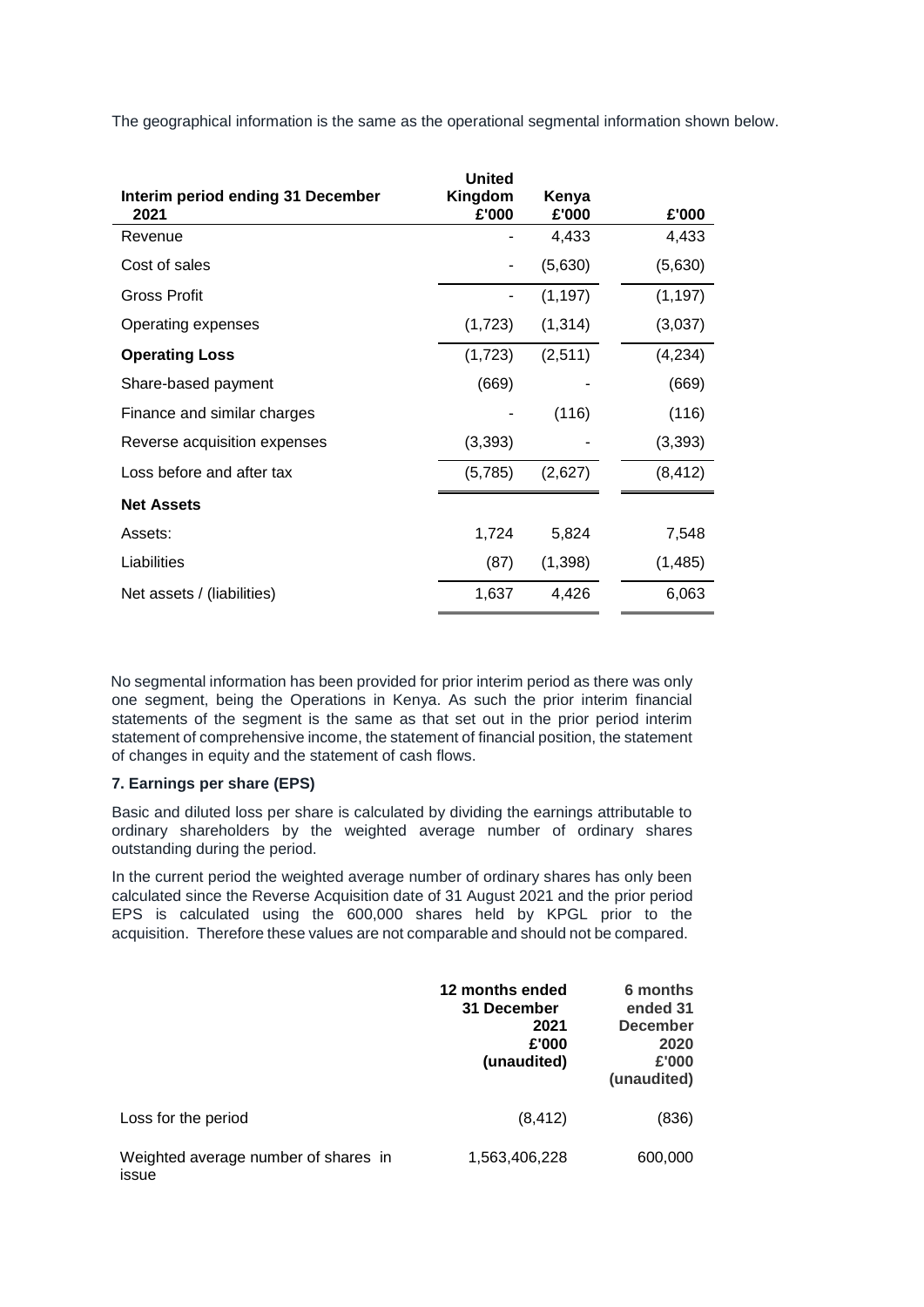The geographical information is the same as the operational segmental information shown below.

| Interim period ending 31 December<br>2021 | <b>United</b><br>Kingdom<br>£'000 | Kenya<br>£'000 | £'000    |
|-------------------------------------------|-----------------------------------|----------------|----------|
| Revenue                                   |                                   | 4,433          | 4,433    |
| Cost of sales                             |                                   | (5,630)        | (5,630)  |
| Gross Profit                              |                                   | (1, 197)       | (1, 197) |
| Operating expenses                        | (1,723)                           | (1, 314)       | (3,037)  |
| <b>Operating Loss</b>                     | (1,723)                           | (2,511)        | (4,234)  |
| Share-based payment                       | (669)                             |                | (669)    |
| Finance and similar charges               |                                   | (116)          | (116)    |
| Reverse acquisition expenses              | (3, 393)                          |                | (3, 393) |
| Loss before and after tax                 | (5,785)                           | (2,627)        | (8, 412) |
| <b>Net Assets</b>                         |                                   |                |          |
| Assets:                                   | 1,724                             | 5,824          | 7,548    |
| Liabilities                               | (87)                              | (1,398)        | (1,485)  |
| Net assets / (liabilities)                | 1,637                             | 4,426          | 6,063    |

No segmental information has been provided for prior interim period as there was only one segment, being the Operations in Kenya. As such the prior interim financial statements of the segment is the same as that set out in the prior period interim statement of comprehensive income, the statement of financial position, the statement of changes in equity and the statement of cash flows.

# **7. Earnings per share (EPS)**

Basic and diluted loss per share is calculated by dividing the earnings attributable to ordinary shareholders by the weighted average number of ordinary shares outstanding during the period.

In the current period the weighted average number of ordinary shares has only been calculated since the Reverse Acquisition date of 31 August 2021 and the prior period EPS is calculated using the 600,000 shares held by KPGL prior to the acquisition. Therefore these values are not comparable and should not be compared.

|                                               | 12 months ended<br>31 December<br>2021<br>£'000<br>(unaudited) | 6 months<br>ended 31<br><b>December</b><br>2020<br>£'000<br>(unaudited) |
|-----------------------------------------------|----------------------------------------------------------------|-------------------------------------------------------------------------|
| Loss for the period                           | (8, 412)                                                       | (836)                                                                   |
| Weighted average number of shares in<br>issue | 1,563,406,228                                                  | 600,000                                                                 |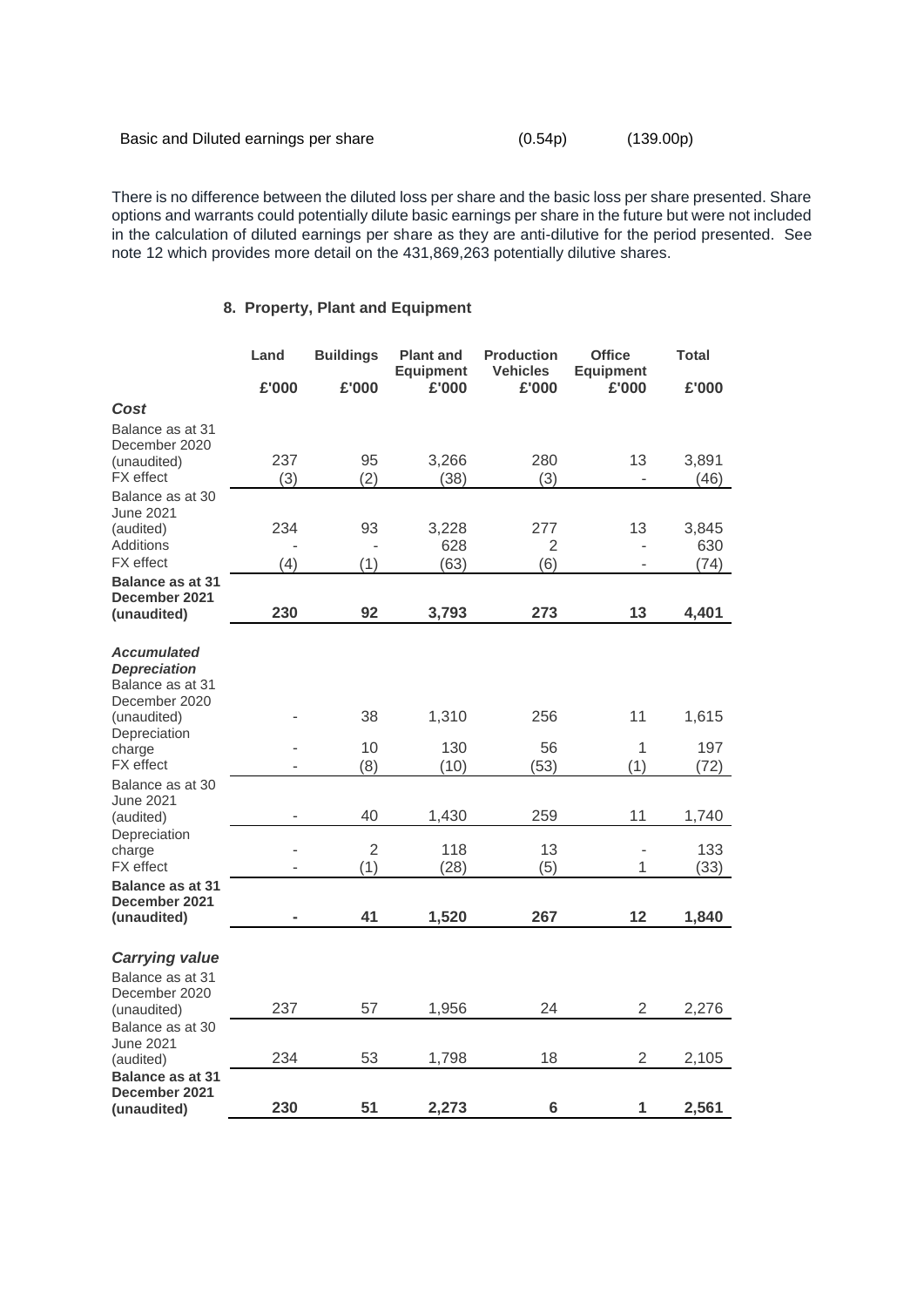| Basic and Diluted earnings per share | (0.54p) | (139.00p) |
|--------------------------------------|---------|-----------|
|--------------------------------------|---------|-----------|

There is no difference between the diluted loss per share and the basic loss per share presented. Share options and warrants could potentially dilute basic earnings per share in the future but were not included in the calculation of diluted earnings per share as they are anti-dilutive for the period presented. See note 12 which provides more detail on the 431,869,263 potentially dilutive shares.

# **8. Property, Plant and Equipment**

|                                      | Land  | <b>Buildings</b> | <b>Plant and</b><br><b>Equipment</b> | <b>Production</b><br><b>Vehicles</b> | <b>Office</b><br><b>Equipment</b> | <b>Total</b> |
|--------------------------------------|-------|------------------|--------------------------------------|--------------------------------------|-----------------------------------|--------------|
|                                      | £'000 | £'000            | £'000                                | £'000                                | £'000                             | £'000        |
| Cost                                 |       |                  |                                      |                                      |                                   |              |
| Balance as at 31                     |       |                  |                                      |                                      |                                   |              |
| December 2020<br>(unaudited)         | 237   | 95               | 3,266                                | 280                                  | 13                                | 3,891        |
| <b>FX</b> effect                     | (3)   | (2)              | (38)                                 | (3)                                  |                                   | (46)         |
| Balance as at 30                     |       |                  |                                      |                                      |                                   |              |
| June 2021<br>(audited)               | 234   | 93               | 3,228                                | 277                                  | 13                                | 3,845        |
| <b>Additions</b>                     |       |                  | 628                                  | $\overline{2}$                       |                                   | 630          |
| <b>FX</b> effect                     | (4)   | (1)              | (63)                                 | (6)                                  |                                   | (74)         |
| <b>Balance as at 31</b>              |       |                  |                                      |                                      |                                   |              |
| December 2021<br>(unaudited)         | 230   | 92               | 3,793                                | 273                                  | 13                                | 4,401        |
| <b>Accumulated</b>                   |       |                  |                                      |                                      |                                   |              |
| <b>Depreciation</b>                  |       |                  |                                      |                                      |                                   |              |
| Balance as at 31                     |       |                  |                                      |                                      |                                   |              |
| December 2020<br>(unaudited)         |       | 38               | 1,310                                | 256                                  | 11                                | 1,615        |
| Depreciation                         |       |                  |                                      |                                      |                                   |              |
| charge                               |       | 10               | 130                                  | 56                                   | $\mathbf{1}$                      | 197          |
| <b>FX</b> effect<br>Balance as at 30 |       | (8)              | (10)                                 | (53)                                 | (1)                               | (72)         |
| June 2021                            |       |                  |                                      |                                      |                                   |              |
| (audited)                            |       | 40               | 1,430                                | 259                                  | 11                                | 1,740        |
| Depreciation<br>charge               |       | $\overline{2}$   | 118                                  | 13                                   |                                   | 133          |
| <b>FX</b> effect                     |       | (1)              | (28)                                 | (5)                                  | 1                                 | (33)         |
| <b>Balance as at 31</b>              |       |                  |                                      |                                      |                                   |              |
| December 2021<br>(unaudited)         |       | 41               | 1,520                                | 267                                  | 12                                | 1,840        |
|                                      |       |                  |                                      |                                      |                                   |              |
| <b>Carrying value</b>                |       |                  |                                      |                                      |                                   |              |
| Balance as at 31                     |       |                  |                                      |                                      |                                   |              |
| December 2020                        |       |                  |                                      |                                      |                                   |              |
| (unaudited)<br>Balance as at 30      | 237   | 57               | 1,956                                | 24                                   | $\overline{2}$                    | 2,276        |
| June 2021                            |       |                  |                                      |                                      |                                   |              |
| (audited)                            | 234   | 53               | 1,798                                | 18                                   | 2                                 | 2,105        |
| Balance as at 31<br>December 2021    |       |                  |                                      |                                      |                                   |              |
| (unaudited)                          | 230   | 51               | 2,273                                | 6                                    | 1                                 | 2,561        |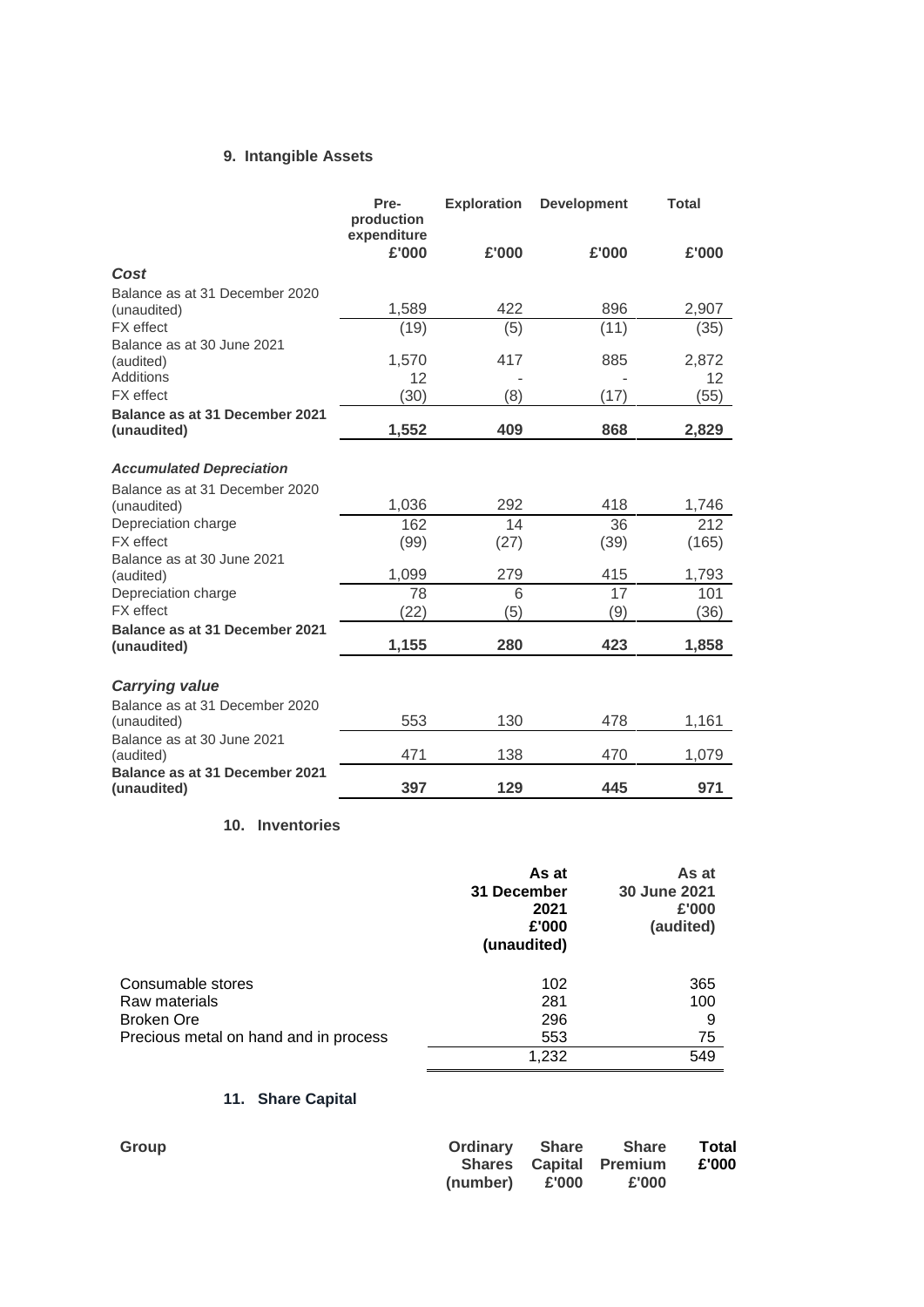# **9. Intangible Assets**

|                                         | Pre-<br>production<br>expenditure | <b>Exploration</b> | <b>Development</b> | <b>Total</b> |
|-----------------------------------------|-----------------------------------|--------------------|--------------------|--------------|
|                                         | £'000                             | £'000              | £'000              | £'000        |
| Cost                                    |                                   |                    |                    |              |
| Balance as at 31 December 2020          |                                   |                    |                    |              |
| (unaudited)                             | 1,589                             | 422                | 896                | 2,907        |
| <b>FX</b> effect                        | (19)                              | (5)                | (11)               | (35)         |
| Balance as at 30 June 2021<br>(audited) | 1,570                             | 417                | 885                | 2,872        |
| Additions                               | 12                                |                    |                    | 12           |
| <b>FX</b> effect                        | (30)                              | (8)                | (17)               | (55)         |
| Balance as at 31 December 2021          |                                   |                    |                    |              |
| (unaudited)                             | 1,552                             | 409                | 868                | 2,829        |
|                                         |                                   |                    |                    |              |
| <b>Accumulated Depreciation</b>         |                                   |                    |                    |              |
| Balance as at 31 December 2020          |                                   |                    |                    |              |
| (unaudited)                             | 1,036                             | 292                | 418                | 1,746        |
| Depreciation charge                     | 162                               | 14                 | 36                 | 212          |
| <b>FX</b> effect                        | (99)                              | (27)               | (39)               | (165)        |
| Balance as at 30 June 2021<br>(audited) | 1,099                             | 279                | 415                | 1,793        |
| Depreciation charge                     | 78                                | 6                  | 17                 | 101          |
| <b>FX</b> effect                        | (22)                              | (5)                | (9)                | (36)         |
| Balance as at 31 December 2021          |                                   |                    |                    |              |
| (unaudited)                             | 1,155                             | 280                | 423                | 1,858        |
|                                         |                                   |                    |                    |              |
| <b>Carrying value</b>                   |                                   |                    |                    |              |
| Balance as at 31 December 2020          |                                   |                    |                    |              |
| (unaudited)                             | 553                               | 130                | 478                | 1,161        |
| Balance as at 30 June 2021<br>(audited) | 471                               | 138                | 470                | 1,079        |
| Balance as at 31 December 2021          | 397                               | 129                | 445                | 971          |
| (unaudited)                             |                                   |                    |                    |              |

# **10. Inventories**

|                                       | As at<br>31 December<br>2021<br>£'000<br>(unaudited) | As at<br>30 June 2021<br>£'000<br>(audited) |
|---------------------------------------|------------------------------------------------------|---------------------------------------------|
| Consumable stores                     | 102                                                  | 365                                         |
| Raw materials                         | 281                                                  | 100                                         |
| <b>Broken Ore</b>                     | 296                                                  | 9                                           |
| Precious metal on hand and in process | 553                                                  | 75                                          |
|                                       | 1,232                                                | 549                                         |

# **11. Share Capital**

| Group |                            | Ordinary Share Share Total    |       |
|-------|----------------------------|-------------------------------|-------|
|       |                            | <b>Shares Capital Premium</b> | £'000 |
|       | $(number)$ $\epsilon$ '000 | £'000                         |       |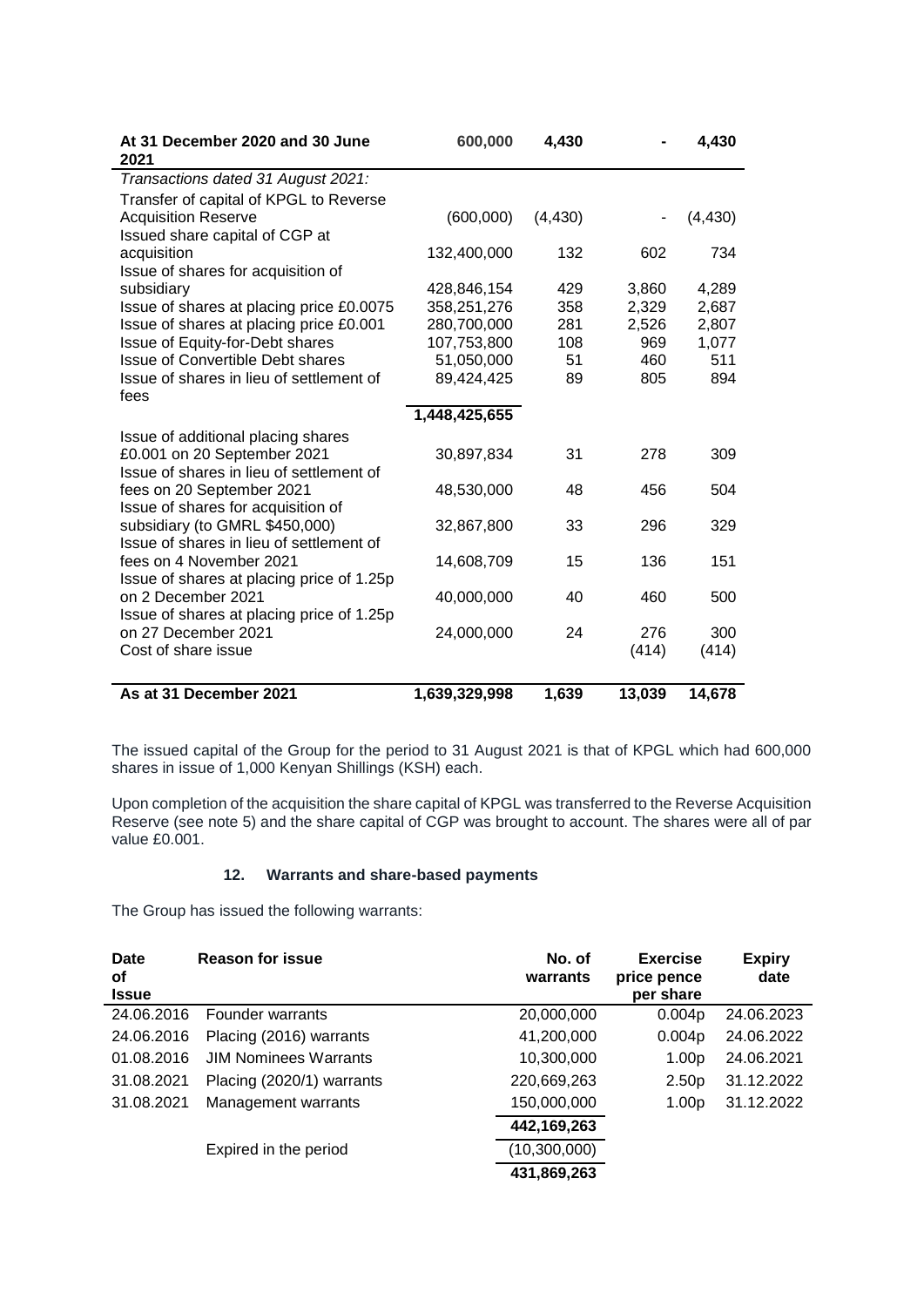| At 31 December 2020 and 30 June<br>2021                                                                       | 600,000       | 4,430    |              | 4,430        |
|---------------------------------------------------------------------------------------------------------------|---------------|----------|--------------|--------------|
| Transactions dated 31 August 2021:                                                                            |               |          |              |              |
| Transfer of capital of KPGL to Reverse<br><b>Acquisition Reserve</b><br>Issued share capital of CGP at        | (600,000)     | (4, 430) |              | (4, 430)     |
| acquisition<br>Issue of shares for acquisition of                                                             | 132,400,000   | 132      | 602          | 734          |
| subsidiary                                                                                                    | 428,846,154   | 429      | 3,860        | 4,289        |
| Issue of shares at placing price £0.0075                                                                      | 358,251,276   | 358      | 2,329        | 2,687        |
| Issue of shares at placing price £0.001                                                                       | 280,700,000   | 281      | 2,526        | 2,807        |
| Issue of Equity-for-Debt shares                                                                               | 107,753,800   | 108      | 969          | 1,077        |
| Issue of Convertible Debt shares                                                                              | 51,050,000    | 51       | 460          | 511          |
| Issue of shares in lieu of settlement of<br>fees                                                              | 89,424,425    | 89       | 805          | 894          |
|                                                                                                               | 1,448,425,655 |          |              |              |
| Issue of additional placing shares<br>£0.001 on 20 September 2021<br>Issue of shares in lieu of settlement of | 30,897,834    | 31       | 278          | 309          |
| fees on 20 September 2021<br>Issue of shares for acquisition of                                               | 48,530,000    | 48       | 456          | 504          |
| subsidiary (to GMRL \$450,000)<br>Issue of shares in lieu of settlement of                                    | 32,867,800    | 33       | 296          | 329          |
| fees on 4 November 2021<br>Issue of shares at placing price of 1.25p                                          | 14,608,709    | 15       | 136          | 151          |
| on 2 December 2021<br>Issue of shares at placing price of 1.25p                                               | 40,000,000    | 40       | 460          | 500          |
| on 27 December 2021<br>Cost of share issue                                                                    | 24,000,000    | 24       | 276<br>(414) | 300<br>(414) |
|                                                                                                               |               |          |              |              |
| As at 31 December 2021                                                                                        | 1,639,329,998 | 1,639    | 13,039       | 14,678       |

The issued capital of the Group for the period to 31 August 2021 is that of KPGL which had 600,000 shares in issue of 1,000 Kenyan Shillings (KSH) each.

Upon completion of the acquisition the share capital of KPGL was transferred to the Reverse Acquisition Reserve (see note 5) and the share capital of CGP was brought to account. The shares were all of par value £0.001.

# **12. Warrants and share-based payments**

The Group has issued the following warrants:

| <b>Date</b><br>οf | <b>Reason for issue</b>      | No. of<br>warrants | <b>Exercise</b><br>price pence | <b>Expiry</b><br>date |
|-------------------|------------------------------|--------------------|--------------------------------|-----------------------|
| <b>Issue</b>      |                              |                    | per share                      |                       |
| 24.06.2016        | Founder warrants             | 20,000,000         | 0.004p                         | 24.06.2023            |
| 24.06.2016        | Placing (2016) warrants      | 41,200,000         | 0.004p                         | 24.06.2022            |
| 01.08.2016        | <b>JIM Nominees Warrants</b> | 10,300,000         | 1.00 <sub>p</sub>              | 24.06.2021            |
| 31.08.2021        | Placing (2020/1) warrants    | 220,669,263        | 2.50 <sub>p</sub>              | 31.12.2022            |
| 31.08.2021        | Management warrants          | 150,000,000        | 1.00p                          | 31.12.2022            |
|                   |                              | 442,169,263        |                                |                       |
|                   | Expired in the period        | (10,300,000)       |                                |                       |
|                   |                              | 431,869,263        |                                |                       |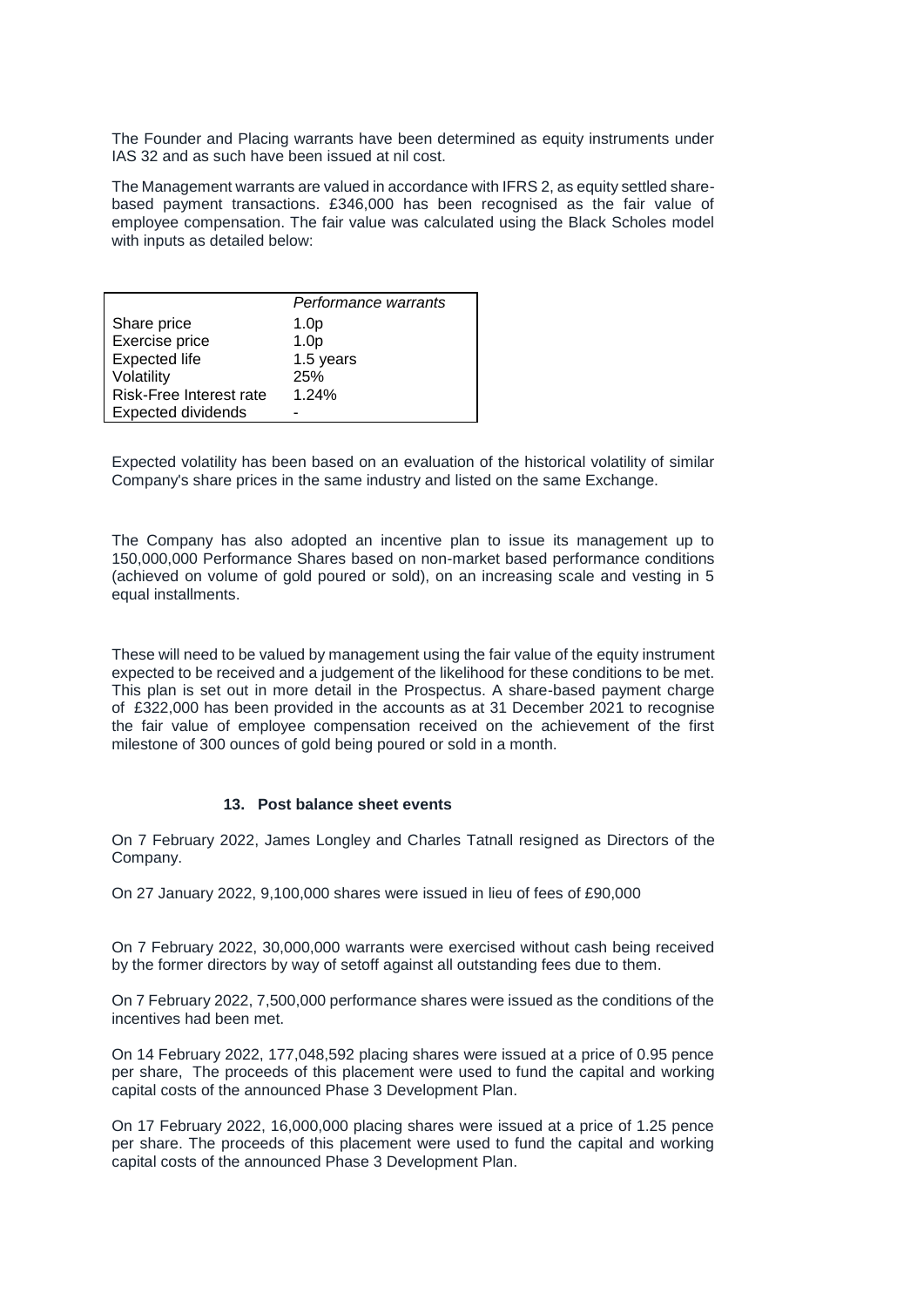The Founder and Placing warrants have been determined as equity instruments under IAS 32 and as such have been issued at nil cost.

The Management warrants are valued in accordance with IFRS 2, as equity settled sharebased payment transactions. £346,000 has been recognised as the fair value of employee compensation. The fair value was calculated using the Black Scholes model with inputs as detailed below:

|                           | Performance warrants |
|---------------------------|----------------------|
| Share price               | 1.0 <sub>p</sub>     |
| Exercise price            | 1.0 <sub>p</sub>     |
| <b>Expected life</b>      | 1.5 years            |
| Volatility                | 25%                  |
| Risk-Free Interest rate   | 1.24%                |
| <b>Expected dividends</b> |                      |

Expected volatility has been based on an evaluation of the historical volatility of similar Company's share prices in the same industry and listed on the same Exchange.

The Company has also adopted an incentive plan to issue its management up to 150,000,000 Performance Shares based on non-market based performance conditions (achieved on volume of gold poured or sold), on an increasing scale and vesting in 5 equal installments.

These will need to be valued by management using the fair value of the equity instrument expected to be received and a judgement of the likelihood for these conditions to be met. This plan is set out in more detail in the Prospectus. A share-based payment charge of £322,000 has been provided in the accounts as at 31 December 2021 to recognise the fair value of employee compensation received on the achievement of the first milestone of 300 ounces of gold being poured or sold in a month.

#### **13. Post balance sheet events**

On 7 February 2022, James Longley and Charles Tatnall resigned as Directors of the Company.

On 27 January 2022, 9,100,000 shares were issued in lieu of fees of £90,000

On 7 February 2022, 30,000,000 warrants were exercised without cash being received by the former directors by way of setoff against all outstanding fees due to them.

On 7 February 2022, 7,500,000 performance shares were issued as the conditions of the incentives had been met.

On 14 February 2022, 177,048,592 placing shares were issued at a price of 0.95 pence per share, The proceeds of this placement were used to fund the capital and working capital costs of the announced Phase 3 Development Plan.

On 17 February 2022, 16,000,000 placing shares were issued at a price of 1.25 pence per share. The proceeds of this placement were used to fund the capital and working capital costs of the announced Phase 3 Development Plan.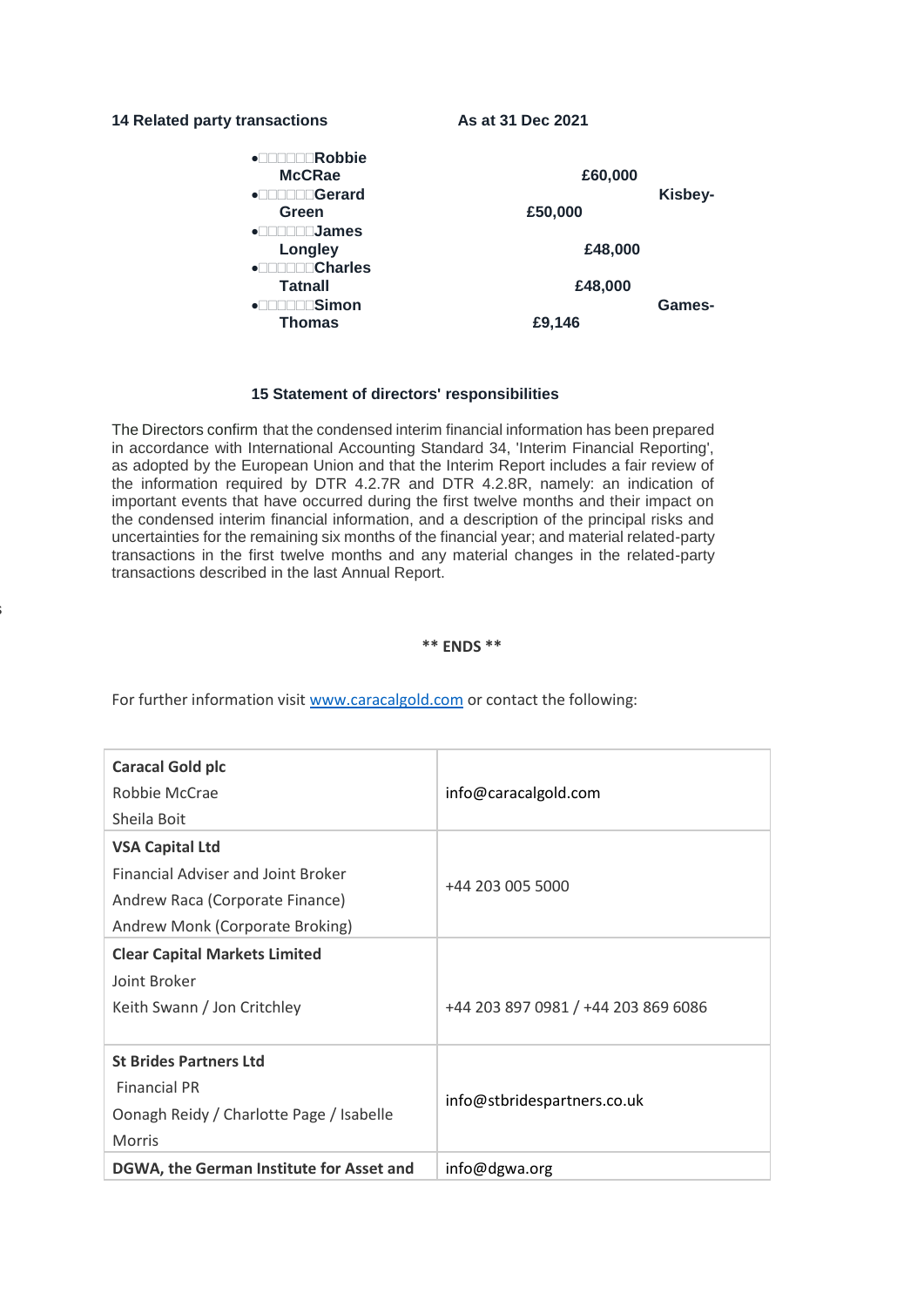#### 14 Related party transactions **As at 31 Dec 2021**

The Directors

| Robbie<br>$\bullet$<br><b>McCRae</b><br>Gerard<br>$\bullet$ $\Box$<br>Green<br><b>James</b><br>$\bullet$ | £60,000<br>£50,000 | Kisbey- |
|----------------------------------------------------------------------------------------------------------|--------------------|---------|
| <b>Longley</b>                                                                                           | £48,000            |         |
| <b>Charles</b><br>$\bullet^-$<br><b>Tatnall</b><br>∣Simon<br>٠                                           | £48,000            | Games-  |
| <b>Thomas</b>                                                                                            | £9,146             |         |

### **15 Statement of directors' responsibilities**

The Directors confirm that the condensed interim financial information has been prepared in accordance with International Accounting Standard 34, 'Interim Financial Reporting', as adopted by the European Union and that the Interim Report includes a fair review of the information required by DTR 4.2.7R and DTR 4.2.8R, namely: an indication of important events that have occurred during the first twelve months and their impact on the condensed interim financial information, and a description of the principal risks and uncertainties for the remaining six months of the financial year; and material related-party transactions in the first twelve months and any material changes in the related-party transactions described in the last Annual Report.

#### **\*\* ENDS \*\***

For further information visit www.caracalgold.com or contact the following:

| <b>Caracal Gold plc</b><br>Robbie McCrae<br>Sheila Boit                                                                                   | info@caracalgold.com                |
|-------------------------------------------------------------------------------------------------------------------------------------------|-------------------------------------|
| <b>VSA Capital Ltd</b><br><b>Financial Adviser and Joint Broker</b><br>Andrew Raca (Corporate Finance)<br>Andrew Monk (Corporate Broking) | +44 203 005 5000                    |
| <b>Clear Capital Markets Limited</b><br>Joint Broker<br>Keith Swann / Jon Critchley                                                       | +44 203 897 0981 / +44 203 869 6086 |
| <b>St Brides Partners Ltd</b><br><b>Financial PR</b><br>Oonagh Reidy / Charlotte Page / Isabelle<br><b>Morris</b>                         | info@stbridespartners.co.uk         |
| DGWA, the German Institute for Asset and                                                                                                  | info@dgwa.org                       |